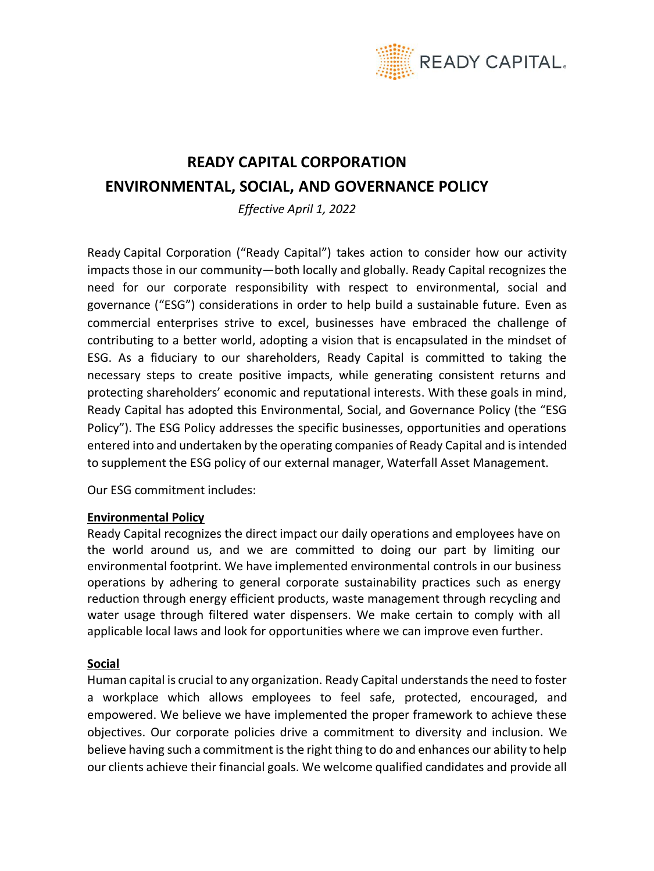

## **READY CAPITAL CORPORATION ENVIRONMENTAL, SOCIAL, AND GOVERNANCE POLICY**

*Effective April 1, 2022*

Ready Capital Corporation ("Ready Capital") takes action to consider how our activity impacts those in our community—both locally and globally. Ready Capital recognizes the need for our corporate responsibility with respect to environmental, social and governance ("ESG") considerations in order to help build a sustainable future. Even as commercial enterprises strive to excel, businesses have embraced the challenge of contributing to a better world, adopting a vision that is encapsulated in the mindset of ESG. As a fiduciary to our shareholders, Ready Capital is committed to taking the necessary steps to create positive impacts, while generating consistent returns and protecting shareholders' economic and reputational interests. With these goals in mind, Ready Capital has adopted this Environmental, Social, and Governance Policy (the "ESG Policy"). The ESG Policy addresses the specific businesses, opportunities and operations entered into and undertaken by the operating companies of Ready Capital and is intended to supplement the ESG policy of our external manager, Waterfall Asset Management.

Our ESG commitment includes:

## **Environmental Policy**

Ready Capital recognizes the direct impact our daily operations and employees have on the world around us, and we are committed to doing our part by limiting our environmental footprint. We have implemented environmental controls in our business operations by adhering to general corporate sustainability practices such as energy reduction through energy efficient products, waste management through recycling and water usage through filtered water dispensers. We make certain to comply with all applicable local laws and look for opportunities where we can improve even further.

## **Social**

Human capital is crucial to any organization. Ready Capital understands the need to foster a workplace which allows employees to feel safe, protected, encouraged, and empowered. We believe we have implemented the proper framework to achieve these objectives. Our corporate policies drive a commitment to diversity and inclusion. We believe having such a commitment is the right thing to do and enhances our ability to help our clients achieve their financial goals. We welcome qualified candidates and provide all